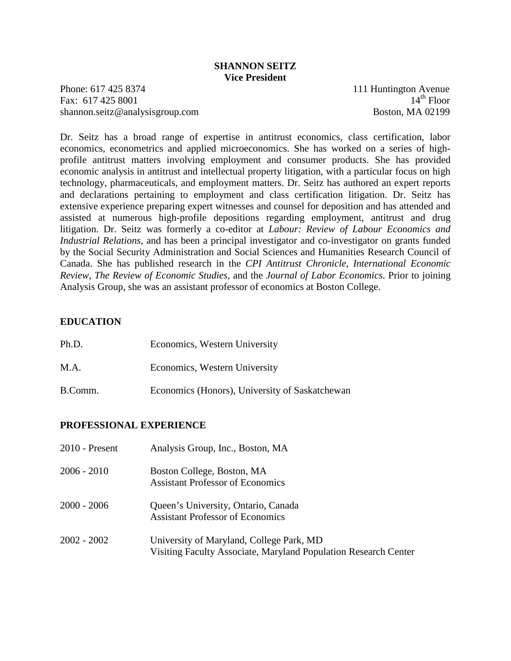#### **SHANNON SEITZ Vice President**

Phone: 617 425 8374 111 Huntington Avenue Fax:  $617\,425\,8001$  14<sup>th</sup> Floor shannon.seitz@analysisgroup.com Boston, MA 02199

Dr. Seitz has a broad range of expertise in antitrust economics, class certification, labor economics, econometrics and applied microeconomics. She has worked on a series of highprofile antitrust matters involving employment and consumer products. She has provided economic analysis in antitrust and intellectual property litigation, with a particular focus on high technology, pharmaceuticals, and employment matters. Dr. Seitz has authored an expert reports and declarations pertaining to employment and class certification litigation. Dr. Seitz has extensive experience preparing expert witnesses and counsel for deposition and has attended and assisted at numerous high-profile depositions regarding employment, antitrust and drug litigation. Dr. Seitz was formerly a co-editor at *Labour: Review of Labour Economics and Industrial Relations*, and has been a principal investigator and co-investigator on grants funded by the Social Security Administration and Social Sciences and Humanities Research Council of Canada. She has published research in the *CPI Antitrust Chronicle*, *International Economic Review*, *The Review of Economic Studies*, and the *Journal of Labor Economics*. Prior to joining Analysis Group, she was an assistant professor of economics at Boston College.

### **EDUCATION**

| Ph.D.   | Economics, Western University                  |
|---------|------------------------------------------------|
| M.A.    | Economics, Western University                  |
| B.Comm. | Economics (Honors), University of Saskatchewan |

#### **PROFESSIONAL EXPERIENCE**

| 2010 - Present | Analysis Group, Inc., Boston, MA                                                                            |
|----------------|-------------------------------------------------------------------------------------------------------------|
| 2006 - 2010    | Boston College, Boston, MA<br><b>Assistant Professor of Economics</b>                                       |
| 2000 - 2006    | Queen's University, Ontario, Canada<br><b>Assistant Professor of Economics</b>                              |
| 2002 - 2002    | University of Maryland, College Park, MD<br>Visiting Faculty Associate, Maryland Population Research Center |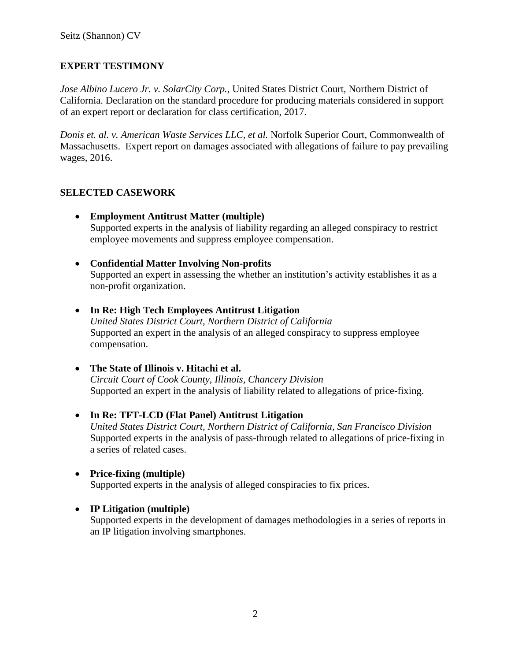# **EXPERT TESTIMONY**

*Jose Albino Lucero Jr. v. SolarCity Corp.*, United States District Court, Northern District of California. Declaration on the standard procedure for producing materials considered in support of an expert report or declaration for class certification, 2017.

*Donis et. al. v. American Waste Services LLC, et al.* Norfolk Superior Court, Commonwealth of Massachusetts. Expert report on damages associated with allegations of failure to pay prevailing wages, 2016.

## **SELECTED CASEWORK**

- **Employment Antitrust Matter (multiple)** Supported experts in the analysis of liability regarding an alleged conspiracy to restrict employee movements and suppress employee compensation.
- **Confidential Matter Involving Non-profits**  Supported an expert in assessing the whether an institution's activity establishes it as a non-profit organization.
- **In Re: High Tech Employees Antitrust Litigation** *United States District Court, Northern District of California* Supported an expert in the analysis of an alleged conspiracy to suppress employee compensation.
- **The State of Illinois v. Hitachi et al.** *Circuit Court of Cook County, Illinois, Chancery Division* Supported an expert in the analysis of liability related to allegations of price-fixing.
- **In Re: TFT-LCD (Flat Panel) Antitrust Litigation** *United States District Court, Northern District of California, San Francisco Division* Supported experts in the analysis of pass-through related to allegations of price-fixing in a series of related cases.
- **Price-fixing (multiple)**
	- Supported experts in the analysis of alleged conspiracies to fix prices.
- **IP Litigation (multiple)**

Supported experts in the development of damages methodologies in a series of reports in an IP litigation involving smartphones.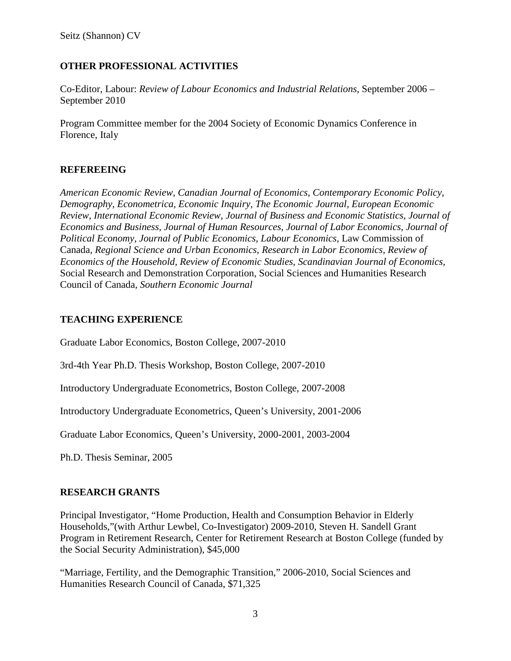## **OTHER PROFESSIONAL ACTIVITIES**

Co-Editor, Labour: *Review of Labour Economics and Industrial Relations*, September 2006 – September 2010

Program Committee member for the 2004 Society of Economic Dynamics Conference in Florence, Italy

### **REFEREEING**

*American Economic Review, Canadian Journal of Economics, Contemporary Economic Policy, Demography, Econometrica, Economic Inquiry, The Economic Journal, European Economic Review, International Economic Review, Journal of Business and Economic Statistics, Journal of Economics and Business, Journal of Human Resources, Journal of Labor Economics, Journal of Political Economy, Journal of Public Economics, Labour Economics,* Law Commission of Canada*, Regional Science and Urban Economics, Research in Labor Economics, Review of Economics of the Household, Review of Economic Studies, Scandinavian Journal of Economics,*  Social Research and Demonstration Corporation*,* Social Sciences and Humanities Research Council of Canada*, Southern Economic Journal*

### **TEACHING EXPERIENCE**

Graduate Labor Economics, Boston College, 2007-2010

3rd-4th Year Ph.D. Thesis Workshop, Boston College, 2007-2010

Introductory Undergraduate Econometrics, Boston College, 2007-2008

Introductory Undergraduate Econometrics, Queen's University, 2001-2006

Graduate Labor Economics, Queen's University, 2000-2001, 2003-2004

Ph.D. Thesis Seminar, 2005

### **RESEARCH GRANTS**

Principal Investigator, "Home Production, Health and Consumption Behavior in Elderly Households,"(with Arthur Lewbel, Co-Investigator) 2009-2010, Steven H. Sandell Grant Program in Retirement Research, Center for Retirement Research at Boston College (funded by the Social Security Administration), \$45,000

"Marriage, Fertility, and the Demographic Transition," 2006-2010, Social Sciences and Humanities Research Council of Canada, \$71,325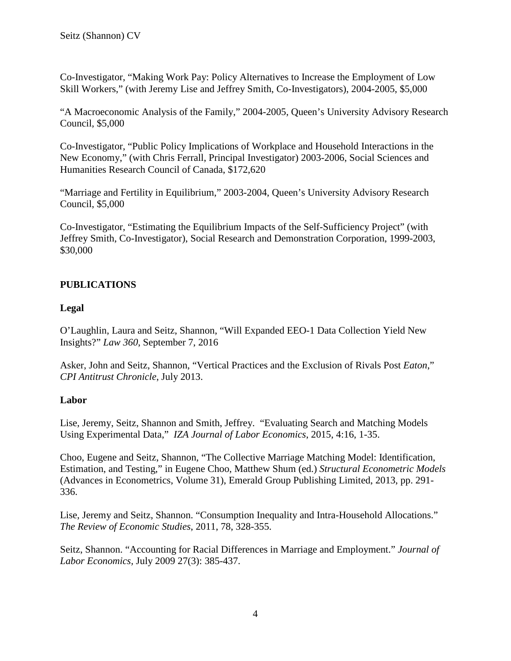Co-Investigator, "Making Work Pay: Policy Alternatives to Increase the Employment of Low Skill Workers," (with Jeremy Lise and Jeffrey Smith, Co-Investigators), 2004-2005, \$5,000

"A Macroeconomic Analysis of the Family," 2004-2005, Queen's University Advisory Research Council, \$5,000

Co-Investigator, "Public Policy Implications of Workplace and Household Interactions in the New Economy," (with Chris Ferrall, Principal Investigator) 2003-2006, Social Sciences and Humanities Research Council of Canada, \$172,620

"Marriage and Fertility in Equilibrium," 2003-2004, Queen's University Advisory Research Council, \$5,000

Co-Investigator, "Estimating the Equilibrium Impacts of the Self-Sufficiency Project" (with Jeffrey Smith, Co-Investigator), Social Research and Demonstration Corporation, 1999-2003, \$30,000

## **PUBLICATIONS**

### **Legal**

O'Laughlin, Laura and Seitz, Shannon, "Will Expanded EEO-1 Data Collection Yield New Insights?" *Law 360*, September 7, 2016

Asker, John and Seitz, Shannon, "Vertical Practices and the Exclusion of Rivals Post *Eaton*," *CPI Antitrust Chronicle*, July 2013.

### **Labor**

Lise, Jeremy, Seitz, Shannon and Smith, Jeffrey. "Evaluating Search and Matching Models Using Experimental Data," *IZA Journal of Labor Economics*, 2015, 4:16, 1-35.

Choo, Eugene and Seitz, Shannon, "The Collective Marriage Matching Model: Identification, Estimation, and Testing," in Eugene Choo, Matthew Shum (ed.) *Structural Econometric Models*  (Advances in Econometrics, Volume 31), Emerald Group Publishing Limited, 2013, pp. 291- 336.

Lise, Jeremy and Seitz, Shannon. "Consumption Inequality and Intra-Household Allocations." *The Review of Economic Studies*, 2011, 78, 328-355.

Seitz, Shannon. "Accounting for Racial Differences in Marriage and Employment." *Journal of Labor Economics,* July 2009 27(3): 385-437.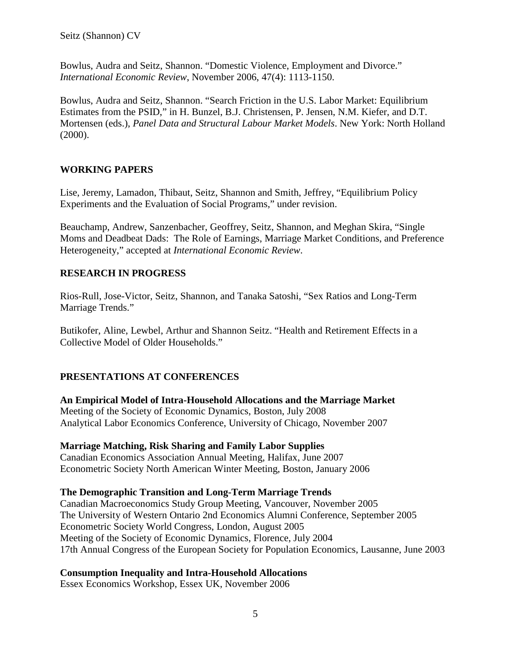Bowlus, Audra and Seitz, Shannon. "Domestic Violence, Employment and Divorce." *International Economic Review*, November 2006, 47(4): 1113-1150.

Bowlus, Audra and Seitz, Shannon. "Search Friction in the U.S. Labor Market: Equilibrium Estimates from the PSID," in H. Bunzel, B.J. Christensen, P. Jensen, N.M. Kiefer, and D.T. Mortensen (eds.), *Panel Data and Structural Labour Market Models*. New York: North Holland (2000).

## **WORKING PAPERS**

Lise, Jeremy, Lamadon, Thibaut, Seitz, Shannon and Smith, Jeffrey, "Equilibrium Policy Experiments and the Evaluation of Social Programs," under revision.

Beauchamp, Andrew, Sanzenbacher, Geoffrey, Seitz, Shannon, and Meghan Skira, "Single Moms and Deadbeat Dads: The Role of Earnings, Marriage Market Conditions, and Preference Heterogeneity," accepted at *International Economic Review*.

# **RESEARCH IN PROGRESS**

Rios-Rull, Jose-Victor, Seitz, Shannon, and Tanaka Satoshi, "Sex Ratios and Long-Term Marriage Trends."

Butikofer, Aline, Lewbel, Arthur and Shannon Seitz. "Health and Retirement Effects in a Collective Model of Older Households."

# **PRESENTATIONS AT CONFERENCES**

**An Empirical Model of Intra-Household Allocations and the Marriage Market** Meeting of the Society of Economic Dynamics, Boston, July 2008 Analytical Labor Economics Conference, University of Chicago, November 2007

### **Marriage Matching, Risk Sharing and Family Labor Supplies**

Canadian Economics Association Annual Meeting, Halifax, June 2007 Econometric Society North American Winter Meeting, Boston, January 2006

### **The Demographic Transition and Long-Term Marriage Trends**

Canadian Macroeconomics Study Group Meeting, Vancouver, November 2005 The University of Western Ontario 2nd Economics Alumni Conference, September 2005 Econometric Society World Congress, London, August 2005 Meeting of the Society of Economic Dynamics, Florence, July 2004 17th Annual Congress of the European Society for Population Economics, Lausanne, June 2003

# **Consumption Inequality and Intra-Household Allocations**

Essex Economics Workshop, Essex UK, November 2006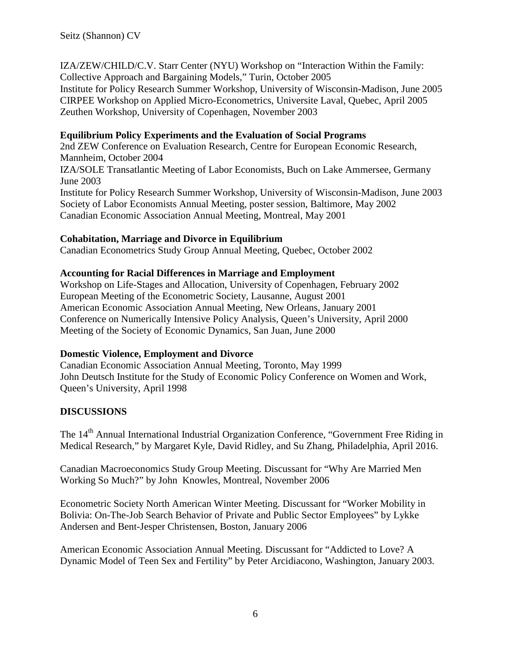IZA/ZEW/CHILD/C.V. Starr Center (NYU) Workshop on "Interaction Within the Family: Collective Approach and Bargaining Models," Turin, October 2005 Institute for Policy Research Summer Workshop, University of Wisconsin-Madison, June 2005 CIRPEE Workshop on Applied Micro-Econometrics, Universite Laval, Quebec, April 2005 Zeuthen Workshop, University of Copenhagen, November 2003

### **Equilibrium Policy Experiments and the Evaluation of Social Programs**

2nd ZEW Conference on Evaluation Research, Centre for European Economic Research, Mannheim, October 2004 IZA/SOLE Transatlantic Meeting of Labor Economists, Buch on Lake Ammersee, Germany June 2003 Institute for Policy Research Summer Workshop, University of Wisconsin-Madison, June 2003 Society of Labor Economists Annual Meeting, poster session, Baltimore, May 2002 Canadian Economic Association Annual Meeting, Montreal, May 2001

### **Cohabitation, Marriage and Divorce in Equilibrium**

Canadian Econometrics Study Group Annual Meeting, Quebec, October 2002

### **Accounting for Racial Differences in Marriage and Employment**

Workshop on Life-Stages and Allocation, University of Copenhagen, February 2002 European Meeting of the Econometric Society, Lausanne, August 2001 American Economic Association Annual Meeting, New Orleans, January 2001 Conference on Numerically Intensive Policy Analysis, Queen's University, April 2000 Meeting of the Society of Economic Dynamics, San Juan, June 2000

#### **Domestic Violence, Employment and Divorce**

Canadian Economic Association Annual Meeting, Toronto, May 1999 John Deutsch Institute for the Study of Economic Policy Conference on Women and Work, Queen's University, April 1998

### **DISCUSSIONS**

The 14<sup>th</sup> Annual International Industrial Organization Conference, "Government Free Riding in Medical Research," by Margaret Kyle, David Ridley, and Su Zhang, Philadelphia, April 2016.

Canadian Macroeconomics Study Group Meeting. Discussant for "Why Are Married Men Working So Much?" by John Knowles, Montreal, November 2006

Econometric Society North American Winter Meeting. Discussant for "Worker Mobility in Bolivia: On-The-Job Search Behavior of Private and Public Sector Employees" by Lykke Andersen and Bent-Jesper Christensen, Boston, January 2006

American Economic Association Annual Meeting. Discussant for "Addicted to Love? A Dynamic Model of Teen Sex and Fertility" by Peter Arcidiacono, Washington, January 2003.